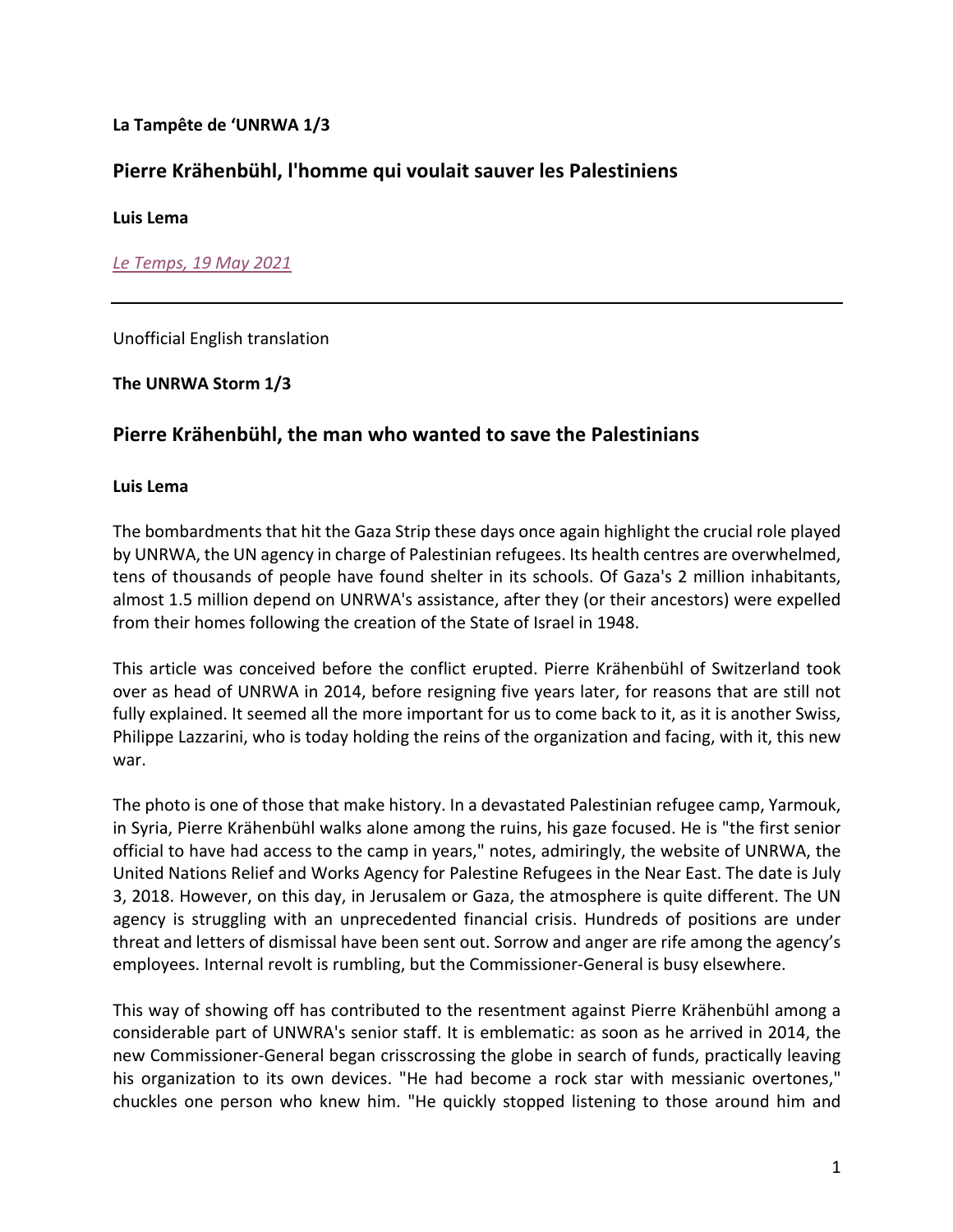### **La Tampête de 'UNRWA 1/3**

# **Pierre Krähenbühl, l'homme qui voulait sauver les Palestiniens**

**Luis Lema**

*Le Temps, 19 May 2021*

Unofficial English translation

#### **The UNRWA Storm 1/3**

## **Pierre Krähenbühl, the man who wanted to save the Palestinians**

#### **Luis Lema**

The bombardments that hit the Gaza Strip these days once again highlight the crucial role played by UNRWA, the UN agency in charge of Palestinian refugees. Its health centres are overwhelmed, tens of thousands of people have found shelter in its schools. Of Gaza's 2 million inhabitants, almost 1.5 million depend on UNRWA's assistance, after they (or their ancestors) were expelled from their homes following the creation of the State of Israel in 1948.

This article was conceived before the conflict erupted. Pierre Krähenbühl of Switzerland took over as head of UNRWA in 2014, before resigning five years later, for reasons that are still not fully explained. It seemed all the more important for us to come back to it, as it is another Swiss, Philippe Lazzarini, who is today holding the reins of the organization and facing, with it, this new war.

The photo is one of those that make history. In a devastated Palestinian refugee camp, Yarmouk, in Syria, Pierre Krähenbühl walks alone among the ruins, his gaze focused. He is "the first senior official to have had access to the camp in years," notes, admiringly, the website of UNRWA, the United Nations Relief and Works Agency for Palestine Refugees in the Near East. The date is July 3, 2018. However, on this day, in Jerusalem or Gaza, the atmosphere is quite different. The UN agency is struggling with an unprecedented financial crisis. Hundreds of positions are under threat and letters of dismissal have been sent out. Sorrow and anger are rife among the agency's employees. Internal revolt is rumbling, but the Commissioner-General is busy elsewhere.

This way of showing off has contributed to the resentment against Pierre Krähenbühl among a considerable part of UNWRA's senior staff. It is emblematic: as soon as he arrived in 2014, the new Commissioner-General began crisscrossing the globe in search of funds, practically leaving his organization to its own devices. "He had become a rock star with messianic overtones," chuckles one person who knew him. "He quickly stopped listening to those around him and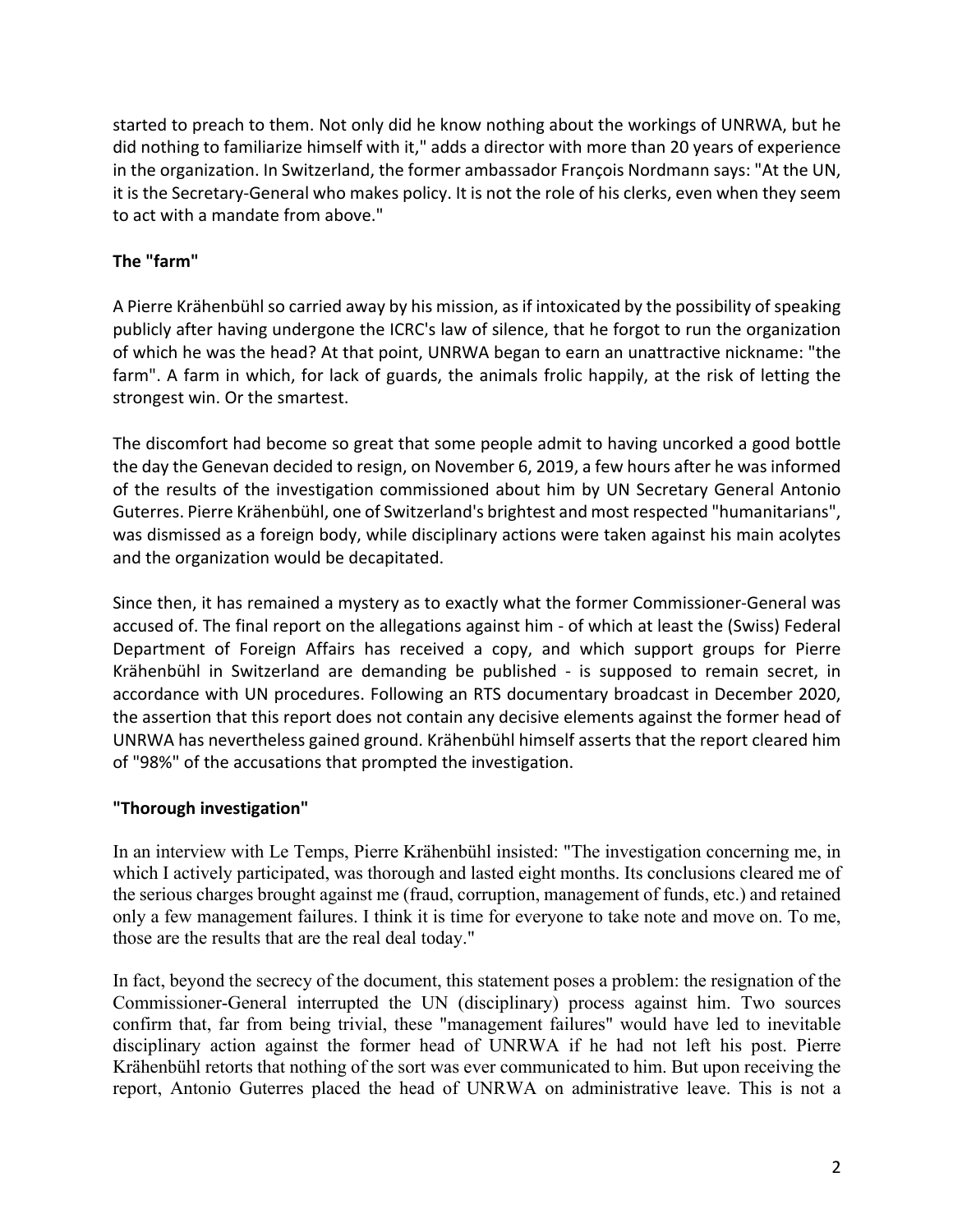started to preach to them. Not only did he know nothing about the workings of UNRWA, but he did nothing to familiarize himself with it," adds a director with more than 20 years of experience in the organization. In Switzerland, the former ambassador François Nordmann says: "At the UN, it is the Secretary-General who makes policy. It is not the role of his clerks, even when they seem to act with a mandate from above."

# **The "farm"**

A Pierre Krähenbühl so carried away by his mission, as if intoxicated by the possibility of speaking publicly after having undergone the ICRC's law of silence, that he forgot to run the organization of which he was the head? At that point, UNRWA began to earn an unattractive nickname: "the farm". A farm in which, for lack of guards, the animals frolic happily, at the risk of letting the strongest win. Or the smartest.

The discomfort had become so great that some people admit to having uncorked a good bottle the day the Genevan decided to resign, on November 6, 2019, a few hours after he was informed of the results of the investigation commissioned about him by UN Secretary General Antonio Guterres. Pierre Krähenbühl, one of Switzerland's brightest and most respected "humanitarians", was dismissed as a foreign body, while disciplinary actions were taken against his main acolytes and the organization would be decapitated.

Since then, it has remained a mystery as to exactly what the former Commissioner-General was accused of. The final report on the allegations against him - of which at least the (Swiss) Federal Department of Foreign Affairs has received a copy, and which support groups for Pierre Krähenbühl in Switzerland are demanding be published - is supposed to remain secret, in accordance with UN procedures. Following an RTS documentary broadcast in December 2020, the assertion that this report does not contain any decisive elements against the former head of UNRWA has nevertheless gained ground. Krähenbühl himself asserts that the report cleared him of "98%" of the accusations that prompted the investigation.

## **"Thorough investigation"**

In an interview with Le Temps, Pierre Krähenbühl insisted: "The investigation concerning me, in which I actively participated, was thorough and lasted eight months. Its conclusions cleared me of the serious charges brought against me (fraud, corruption, management of funds, etc.) and retained only a few management failures. I think it is time for everyone to take note and move on. To me, those are the results that are the real deal today."

In fact, beyond the secrecy of the document, this statement poses a problem: the resignation of the Commissioner-General interrupted the UN (disciplinary) process against him. Two sources confirm that, far from being trivial, these "management failures" would have led to inevitable disciplinary action against the former head of UNRWA if he had not left his post. Pierre Krähenbühl retorts that nothing of the sort was ever communicated to him. But upon receiving the report, Antonio Guterres placed the head of UNRWA on administrative leave. This is not a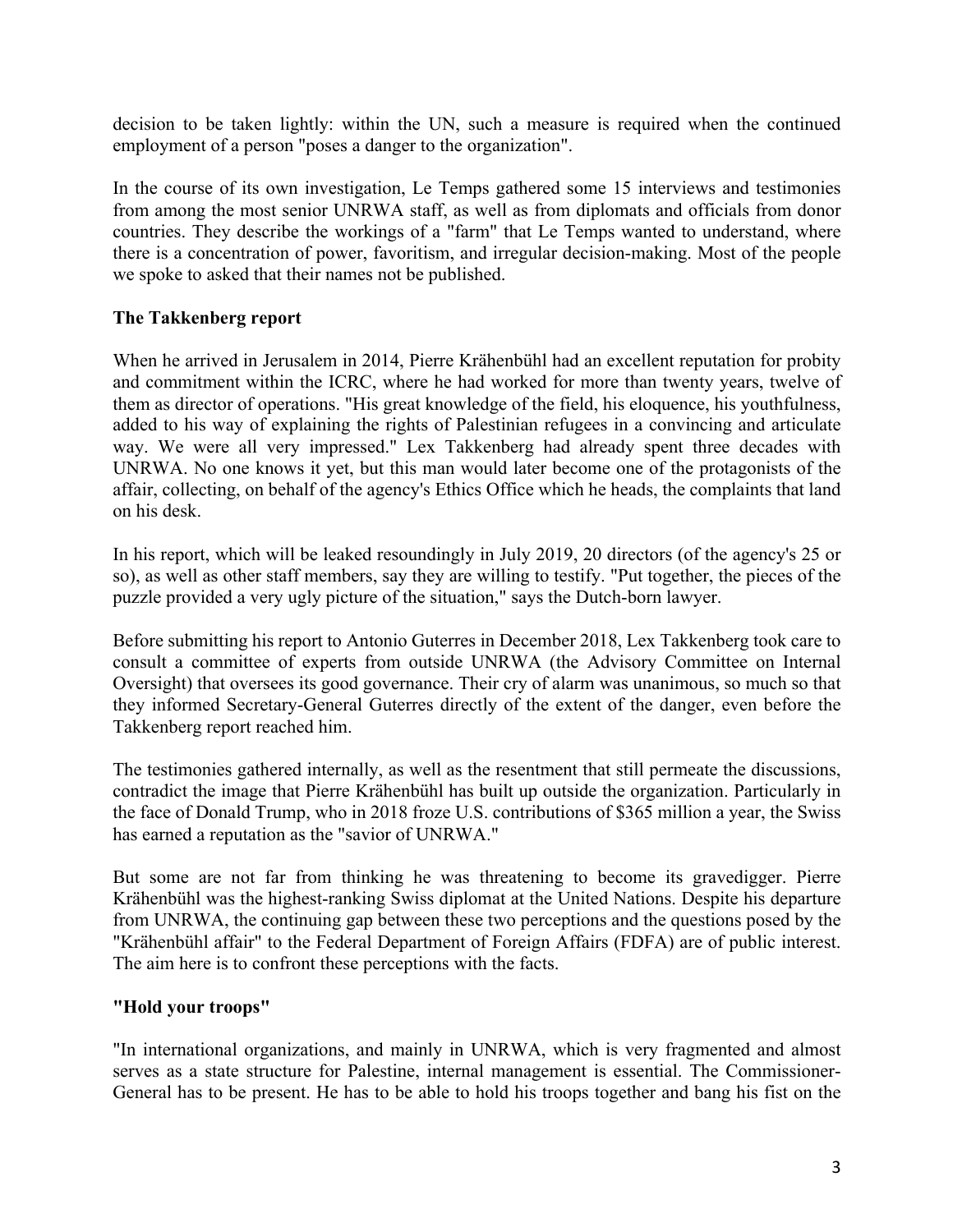decision to be taken lightly: within the UN, such a measure is required when the continued employment of a person "poses a danger to the organization".

In the course of its own investigation, Le Temps gathered some 15 interviews and testimonies from among the most senior UNRWA staff, as well as from diplomats and officials from donor countries. They describe the workings of a "farm" that Le Temps wanted to understand, where there is a concentration of power, favoritism, and irregular decision-making. Most of the people we spoke to asked that their names not be published.

## **The Takkenberg report**

When he arrived in Jerusalem in 2014, Pierre Krähenbühl had an excellent reputation for probity and commitment within the ICRC, where he had worked for more than twenty years, twelve of them as director of operations. "His great knowledge of the field, his eloquence, his youthfulness, added to his way of explaining the rights of Palestinian refugees in a convincing and articulate way. We were all very impressed." Lex Takkenberg had already spent three decades with UNRWA. No one knows it yet, but this man would later become one of the protagonists of the affair, collecting, on behalf of the agency's Ethics Office which he heads, the complaints that land on his desk.

In his report, which will be leaked resoundingly in July 2019, 20 directors (of the agency's 25 or so), as well as other staff members, say they are willing to testify. "Put together, the pieces of the puzzle provided a very ugly picture of the situation," says the Dutch-born lawyer.

Before submitting his report to Antonio Guterres in December 2018, Lex Takkenberg took care to consult a committee of experts from outside UNRWA (the Advisory Committee on Internal Oversight) that oversees its good governance. Their cry of alarm was unanimous, so much so that they informed Secretary-General Guterres directly of the extent of the danger, even before the Takkenberg report reached him.

The testimonies gathered internally, as well as the resentment that still permeate the discussions, contradict the image that Pierre Krähenbühl has built up outside the organization. Particularly in the face of Donald Trump, who in 2018 froze U.S. contributions of \$365 million a year, the Swiss has earned a reputation as the "savior of UNRWA."

But some are not far from thinking he was threatening to become its gravedigger. Pierre Krähenbühl was the highest-ranking Swiss diplomat at the United Nations. Despite his departure from UNRWA, the continuing gap between these two perceptions and the questions posed by the "Krähenbühl affair" to the Federal Department of Foreign Affairs (FDFA) are of public interest. The aim here is to confront these perceptions with the facts.

# **"Hold your troops"**

"In international organizations, and mainly in UNRWA, which is very fragmented and almost serves as a state structure for Palestine, internal management is essential. The Commissioner-General has to be present. He has to be able to hold his troops together and bang his fist on the